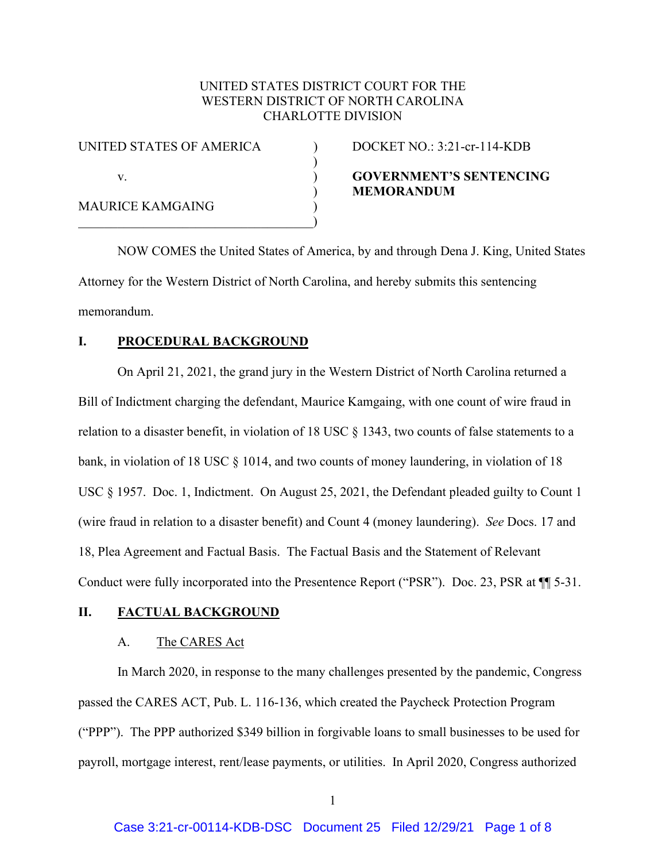## UNITED STATES DISTRICT COURT FOR THE WESTERN DISTRICT OF NORTH CAROLINA CHARLOTTE DIVISION

) and  $\overline{\phantom{a}}$ 

| UNITED STATES OF AMERICA |  |
|--------------------------|--|
|                          |  |
| V.                       |  |
| MAURICE KAMGAING         |  |
|                          |  |

 $DOCKET NO.: 3:21-cr-114-KDB$ 

# v. ) **GOVERNMENT'S SENTENCING** ) **MEMORANDUM**

NOW COMES the United States of America, by and through Dena J. King, United States Attorney for the Western District of North Carolina, and hereby submits this sentencing memorandum.

## **I. PROCEDURAL BACKGROUND**

On April 21, 2021, the grand jury in the Western District of North Carolina returned a Bill of Indictment charging the defendant, Maurice Kamgaing, with one count of wire fraud in relation to a disaster benefit, in violation of 18 USC § 1343, two counts of false statements to a bank, in violation of 18 USC § 1014, and two counts of money laundering, in violation of 18 USC § 1957. Doc. 1, Indictment. On August 25, 2021, the Defendant pleaded guilty to Count 1 (wire fraud in relation to a disaster benefit) and Count 4 (money laundering). *See* Docs. 17 and 18, Plea Agreement and Factual Basis. The Factual Basis and the Statement of Relevant Conduct were fully incorporated into the Presentence Report ("PSR"). Doc. 23, PSR at ¶¶ 5-31.

### **II. FACTUAL BACKGROUND**

#### A. The CARES Act

In March 2020, in response to the many challenges presented by the pandemic, Congress passed the CARES ACT, Pub. L. 116-136, which created the Paycheck Protection Program ("PPP"). The PPP authorized \$349 billion in forgivable loans to small businesses to be used for payroll, mortgage interest, rent/lease payments, or utilities. In April 2020, Congress authorized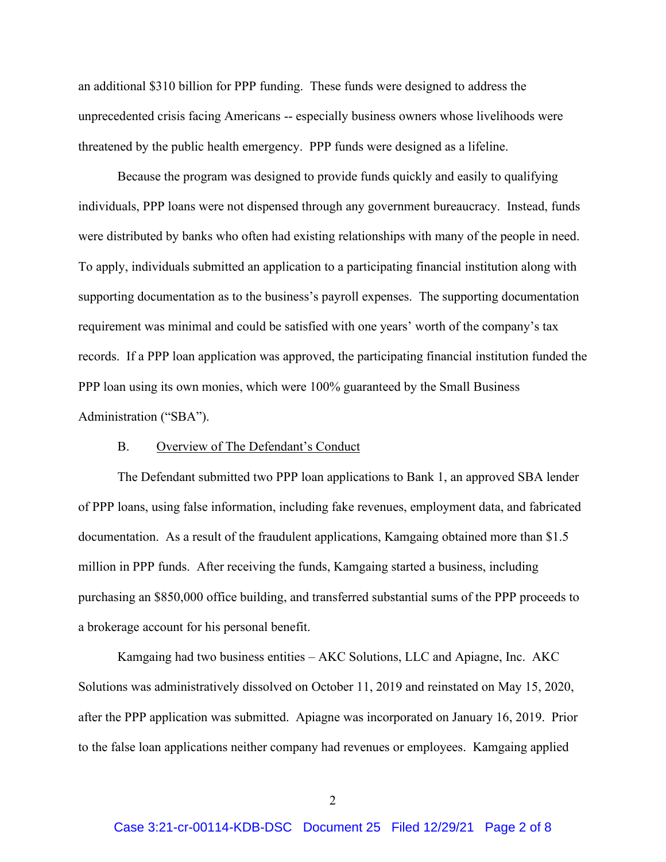an additional \$310 billion for PPP funding. These funds were designed to address the unprecedented crisis facing Americans -- especially business owners whose livelihoods were threatened by the public health emergency. PPP funds were designed as a lifeline.

Because the program was designed to provide funds quickly and easily to qualifying individuals, PPP loans were not dispensed through any government bureaucracy. Instead, funds were distributed by banks who often had existing relationships with many of the people in need. To apply, individuals submitted an application to a participating financial institution along with supporting documentation as to the business's payroll expenses. The supporting documentation requirement was minimal and could be satisfied with one years' worth of the company's tax records. If a PPP loan application was approved, the participating financial institution funded the PPP loan using its own monies, which were 100% guaranteed by the Small Business Administration ("SBA").

#### B. Overview of The Defendant's Conduct

The Defendant submitted two PPP loan applications to Bank 1, an approved SBA lender of PPP loans, using false information, including fake revenues, employment data, and fabricated documentation. As a result of the fraudulent applications, Kamgaing obtained more than \$1.5 million in PPP funds. After receiving the funds, Kamgaing started a business, including purchasing an \$850,000 office building, and transferred substantial sums of the PPP proceeds to a brokerage account for his personal benefit.

Kamgaing had two business entities – AKC Solutions, LLC and Apiagne, Inc. AKC Solutions was administratively dissolved on October 11, 2019 and reinstated on May 15, 2020, after the PPP application was submitted. Apiagne was incorporated on January 16, 2019. Prior to the false loan applications neither company had revenues or employees. Kamgaing applied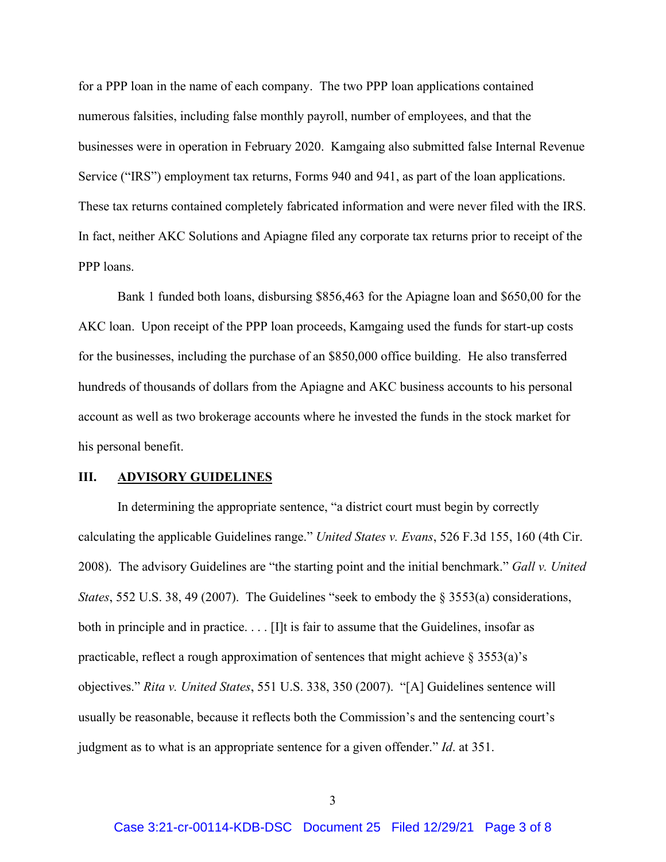for a PPP loan in the name of each company. The two PPP loan applications contained numerous falsities, including false monthly payroll, number of employees, and that the businesses were in operation in February 2020. Kamgaing also submitted false Internal Revenue Service ("IRS") employment tax returns, Forms 940 and 941, as part of the loan applications. These tax returns contained completely fabricated information and were never filed with the IRS. In fact, neither AKC Solutions and Apiagne filed any corporate tax returns prior to receipt of the PPP loans.

Bank 1 funded both loans, disbursing \$856,463 for the Apiagne loan and \$650,00 for the AKC loan. Upon receipt of the PPP loan proceeds, Kamgaing used the funds for start-up costs for the businesses, including the purchase of an \$850,000 office building. He also transferred hundreds of thousands of dollars from the Apiagne and AKC business accounts to his personal account as well as two brokerage accounts where he invested the funds in the stock market for his personal benefit.

#### **III. ADVISORY GUIDELINES**

In determining the appropriate sentence, "a district court must begin by correctly calculating the applicable Guidelines range." *United States v. Evans*, 526 F.3d 155, 160 (4th Cir. 2008). The advisory Guidelines are "the starting point and the initial benchmark." *Gall v. United States*, 552 U.S. 38, 49 (2007). The Guidelines "seek to embody the § 3553(a) considerations, both in principle and in practice. . . . [I]t is fair to assume that the Guidelines, insofar as practicable, reflect a rough approximation of sentences that might achieve  $\S 3553(a)$ 's objectives." *Rita v. United States*, 551 U.S. 338, 350 (2007). "[A] Guidelines sentence will usually be reasonable, because it reflects both the Commission's and the sentencing court's judgment as to what is an appropriate sentence for a given offender." *Id*. at 351.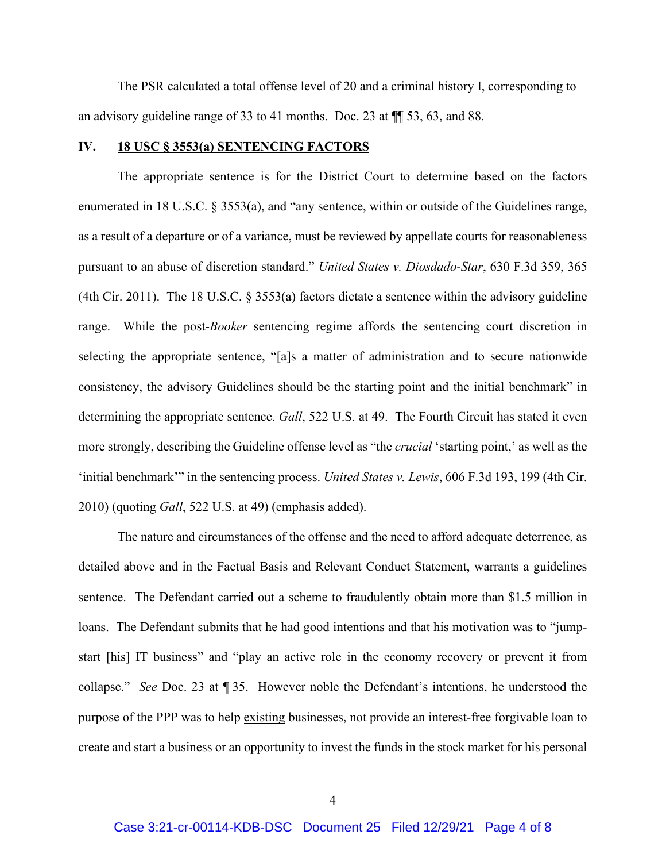The PSR calculated a total offense level of 20 and a criminal history I, corresponding to an advisory guideline range of 33 to 41 months. Doc. 23 at ¶¶ 53, 63, and 88.

#### **IV. 18 USC § 3553(a) SENTENCING FACTORS**

The appropriate sentence is for the District Court to determine based on the factors enumerated in 18 U.S.C.  $\S 3553(a)$ , and "any sentence, within or outside of the Guidelines range, as a result of a departure or of a variance, must be reviewed by appellate courts for reasonableness pursuant to an abuse of discretion standard." *United States v. Diosdado-Star*, 630 F.3d 359, 365 (4th Cir. 2011). The 18 U.S.C.  $\S$  3553(a) factors dictate a sentence within the advisory guideline range. While the post-*Booker* sentencing regime affords the sentencing court discretion in selecting the appropriate sentence, "[a]s a matter of administration and to secure nationwide consistency, the advisory Guidelines should be the starting point and the initial benchmark" in determining the appropriate sentence. *Gall*, 522 U.S. at 49. The Fourth Circuit has stated it even more strongly, describing the Guideline offense level as "the *crucial* 'starting point,' as well as the 'initial benchmark'" in the sentencing process. *United States v. Lewis*, 606 F.3d 193, 199 (4th Cir. 2010) (quoting *Gall*, 522 U.S. at 49) (emphasis added).

The nature and circumstances of the offense and the need to afford adequate deterrence, as detailed above and in the Factual Basis and Relevant Conduct Statement, warrants a guidelines sentence. The Defendant carried out a scheme to fraudulently obtain more than \$1.5 million in loans. The Defendant submits that he had good intentions and that his motivation was to "jumpstart [his] IT business" and "play an active role in the economy recovery or prevent it from collapse." *See* Doc. 23 at ¶ 35. However noble the Defendant's intentions, he understood the purpose of the PPP was to help existing businesses, not provide an interest-free forgivable loan to create and start a business or an opportunity to invest the funds in the stock market for his personal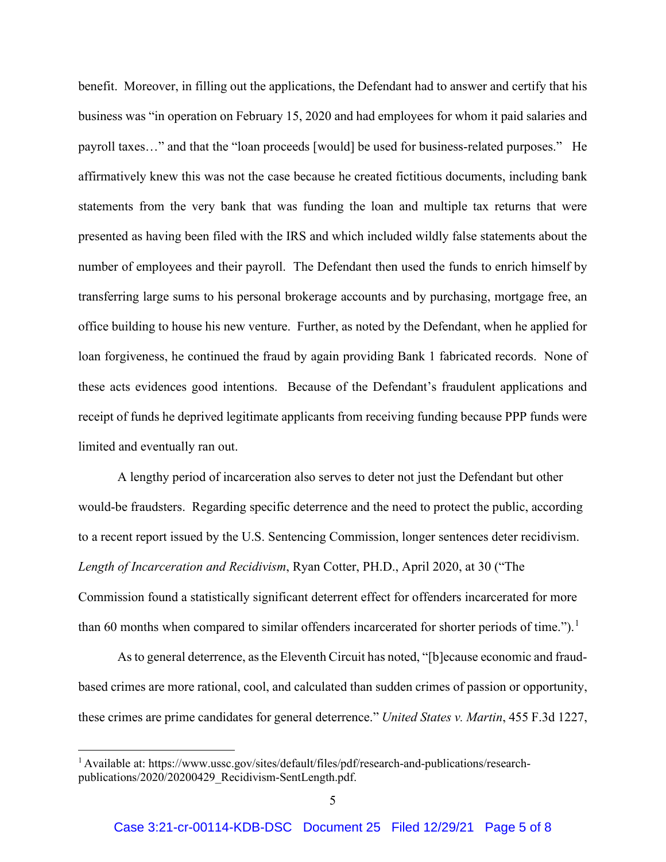benefit. Moreover, in filling out the applications, the Defendant had to answer and certify that his business was "in operation on February 15, 2020 and had employees for whom it paid salaries and payroll taxes…" and that the "loan proceeds [would] be used for business-related purposes." He affirmatively knew this was not the case because he created fictitious documents, including bank statements from the very bank that was funding the loan and multiple tax returns that were presented as having been filed with the IRS and which included wildly false statements about the number of employees and their payroll. The Defendant then used the funds to enrich himself by transferring large sums to his personal brokerage accounts and by purchasing, mortgage free, an office building to house his new venture. Further, as noted by the Defendant, when he applied for loan forgiveness, he continued the fraud by again providing Bank 1 fabricated records. None of these acts evidences good intentions. Because of the Defendant's fraudulent applications and receipt of funds he deprived legitimate applicants from receiving funding because PPP funds were limited and eventually ran out.

A lengthy period of incarceration also serves to deter not just the Defendant but other would-be fraudsters. Regarding specific deterrence and the need to protect the public, according to a recent report issued by the U.S. Sentencing Commission, longer sentences deter recidivism. *Length of Incarceration and Recidivism*, Ryan Cotter, PH.D., April 2020, at 30 ("The Commission found a statistically significant deterrent effect for offenders incarcerated for more than 60 months when compared to similar offenders incarcerated for shorter periods of time.").<sup>[1](#page-4-0)</sup>

As to general deterrence, as the Eleventh Circuit has noted, "[b]ecause economic and fraudbased crimes are more rational, cool, and calculated than sudden crimes of passion or opportunity, these crimes are prime candidates for general deterrence." *United States v. Martin*, 455 F.3d 1227,

<span id="page-4-0"></span><sup>1</sup> Available at: https://www.ussc.gov/sites/default/files/pdf/research-and-publications/researchpublications/2020/20200429\_Recidivism-SentLength.pdf.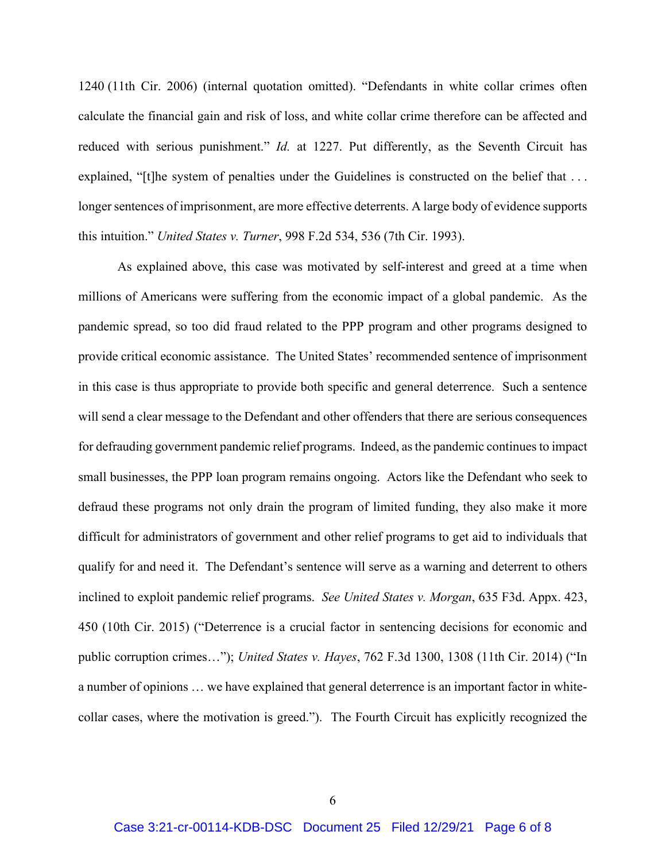1240 (11th Cir. 2006) (internal quotation omitted). "Defendants in white collar crimes often calculate the financial gain and risk of loss, and white collar crime therefore can be affected and reduced with serious punishment." *Id.* at 1227. Put differently, as the Seventh Circuit has explained, "[t]he system of penalties under the Guidelines is constructed on the belief that ... longer sentences of imprisonment, are more effective deterrents. A large body of evidence supports this intuition." *United States v. Turner*, 998 F.2d 534, 536 (7th Cir. 1993).

As explained above, this case was motivated by self-interest and greed at a time when millions of Americans were suffering from the economic impact of a global pandemic. As the pandemic spread, so too did fraud related to the PPP program and other programs designed to provide critical economic assistance. The United States' recommended sentence of imprisonment in this case is thus appropriate to provide both specific and general deterrence. Such a sentence will send a clear message to the Defendant and other offenders that there are serious consequences for defrauding government pandemic relief programs. Indeed, as the pandemic continues to impact small businesses, the PPP loan program remains ongoing. Actors like the Defendant who seek to defraud these programs not only drain the program of limited funding, they also make it more difficult for administrators of government and other relief programs to get aid to individuals that qualify for and need it. The Defendant's sentence will serve as a warning and deterrent to others inclined to exploit pandemic relief programs. *See United States v. Morgan*, 635 F3d. Appx. 423, 450 (10th Cir. 2015) ("Deterrence is a crucial factor in sentencing decisions for economic and public corruption crimes…"); *United States v. Hayes*, 762 F.3d 1300, 1308 (11th Cir. 2014) ("In a number of opinions … we have explained that general deterrence is an important factor in whitecollar cases, where the motivation is greed."). The Fourth Circuit has explicitly recognized the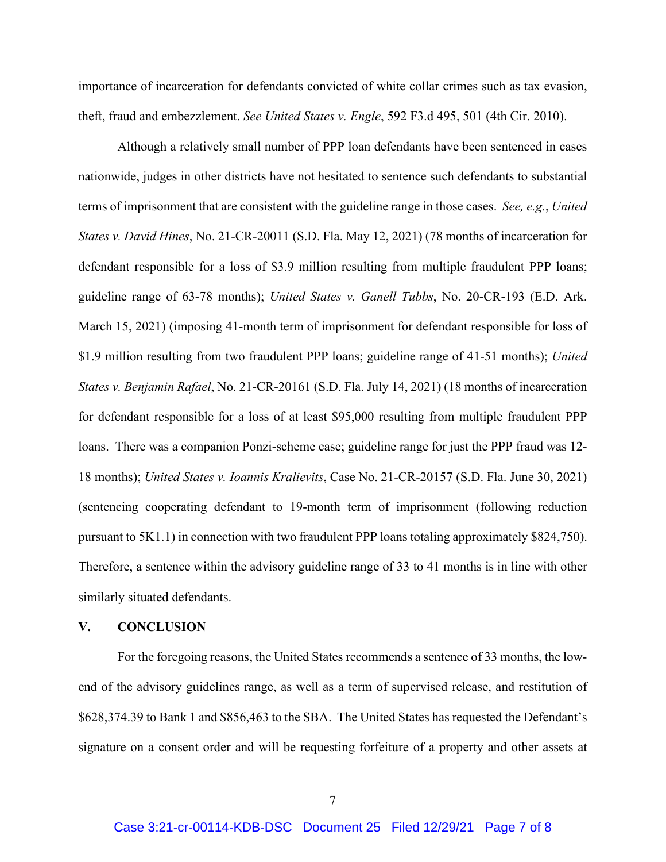importance of incarceration for defendants convicted of white collar crimes such as tax evasion, theft, fraud and embezzlement. *See United States v. Engle*, 592 F3.d 495, 501 (4th Cir. 2010).

Although a relatively small number of PPP loan defendants have been sentenced in cases nationwide, judges in other districts have not hesitated to sentence such defendants to substantial terms of imprisonment that are consistent with the guideline range in those cases. *See, e.g.*, *United States v. David Hines*, No. 21-CR-20011 (S.D. Fla. May 12, 2021) (78 months of incarceration for defendant responsible for a loss of \$3.9 million resulting from multiple fraudulent PPP loans; guideline range of 63-78 months); *United States v. Ganell Tubbs*, No. 20-CR-193 (E.D. Ark. March 15, 2021) (imposing 41-month term of imprisonment for defendant responsible for loss of \$1.9 million resulting from two fraudulent PPP loans; guideline range of 41-51 months); *United States v. Benjamin Rafael*, No. 21-CR-20161 (S.D. Fla. July 14, 2021) (18 months of incarceration for defendant responsible for a loss of at least \$95,000 resulting from multiple fraudulent PPP loans. There was a companion Ponzi-scheme case; guideline range for just the PPP fraud was 12- 18 months); *United States v. Ioannis Kralievits*, Case No. 21-CR-20157 (S.D. Fla. June 30, 2021) (sentencing cooperating defendant to 19-month term of imprisonment (following reduction pursuant to 5K1.1) in connection with two fraudulent PPP loans totaling approximately \$824,750). Therefore, a sentence within the advisory guideline range of 33 to 41 months is in line with other similarly situated defendants.

#### **V. CONCLUSION**

For the foregoing reasons, the United States recommends a sentence of 33 months, the lowend of the advisory guidelines range, as well as a term of supervised release, and restitution of \$628,374.39 to Bank 1 and \$856,463 to the SBA. The United States has requested the Defendant's signature on a consent order and will be requesting forfeiture of a property and other assets at